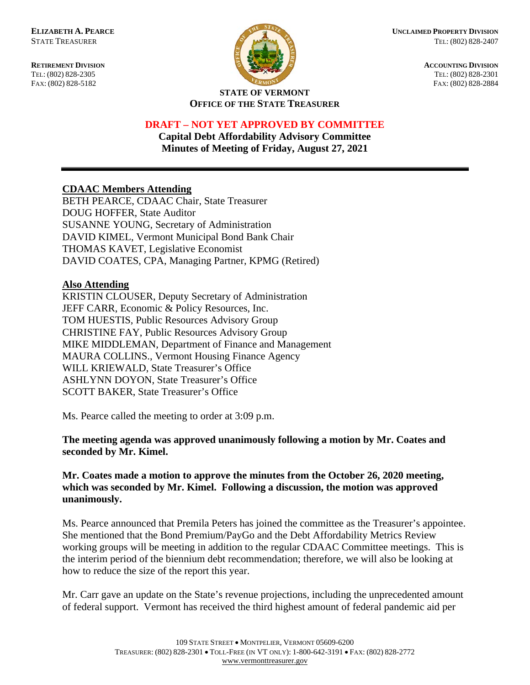

**ELIZABETH A. PEARCE CONSIDERED PROPERTY DIVISION** STATE TREASURER TEL: (802) 828-2407

**RETIREMENT DIVISION ACCOUNTING DIVISION** TEL: (802) 828-2305 TEL: (802) 828-2301 FAX: (802) 828-5182 FAX: (802) 828-2884

#### **STATE OF VERMONT OFFICE OF THE STATE TREASURER**

## **DRAFT – NOT YET APPROVED BY COMMITTEE**

**Capital Debt Affordability Advisory Committee Minutes of Meeting of Friday, August 27, 2021**

# **CDAAC Members Attending**

BETH PEARCE, CDAAC Chair, State Treasurer DOUG HOFFER, State Auditor SUSANNE YOUNG, Secretary of Administration DAVID KIMEL, Vermont Municipal Bond Bank Chair THOMAS KAVET, Legislative Economist DAVID COATES, CPA, Managing Partner, KPMG (Retired)

## **Also Attending**

KRISTIN CLOUSER, Deputy Secretary of Administration JEFF CARR, Economic & Policy Resources, Inc. TOM HUESTIS, Public Resources Advisory Group CHRISTINE FAY, Public Resources Advisory Group MIKE MIDDLEMAN, Department of Finance and Management MAURA COLLINS., Vermont Housing Finance Agency WILL KRIEWALD, State Treasurer's Office ASHLYNN DOYON, State Treasurer's Office SCOTT BAKER, State Treasurer's Office

Ms. Pearce called the meeting to order at 3:09 p.m.

**The meeting agenda was approved unanimously following a motion by Mr. Coates and seconded by Mr. Kimel.**

## **Mr. Coates made a motion to approve the minutes from the October 26, 2020 meeting, which was seconded by Mr. Kimel. Following a discussion, the motion was approved unanimously.**

Ms. Pearce announced that Premila Peters has joined the committee as the Treasurer's appointee. She mentioned that the Bond Premium/PayGo and the Debt Affordability Metrics Review working groups will be meeting in addition to the regular CDAAC Committee meetings. This is the interim period of the biennium debt recommendation; therefore, we will also be looking at how to reduce the size of the report this year.

Mr. Carr gave an update on the State's revenue projections, including the unprecedented amount of federal support. Vermont has received the third highest amount of federal pandemic aid per